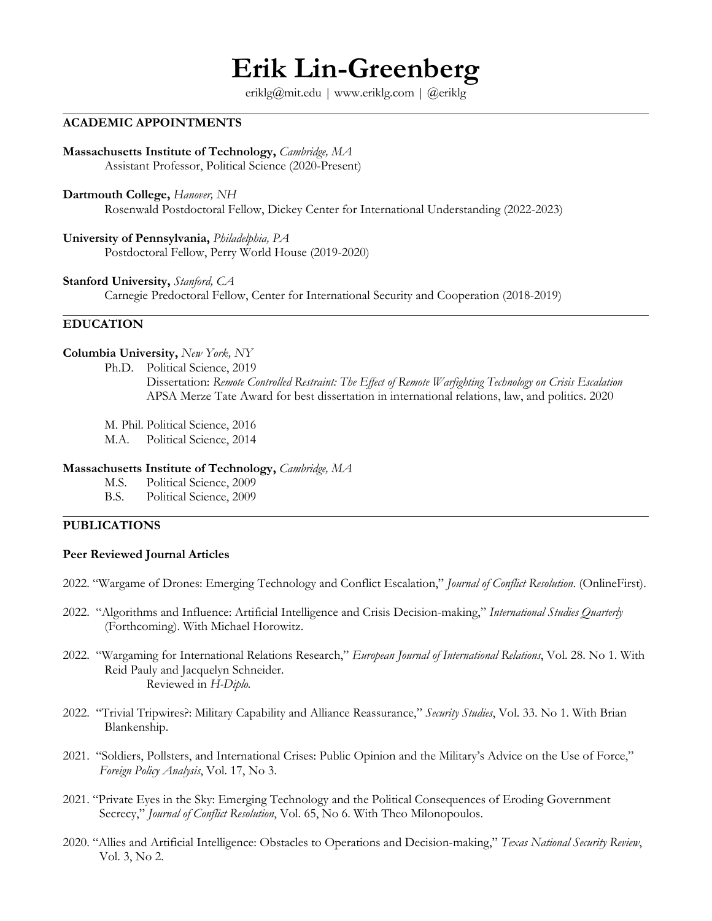# **Erik Lin-Greenberg**

eriklg@mit.edu | www.eriklg.com | @eriklg

# **ACADEMIC APPOINTMENTS**

**Massachusetts Institute of Technology,** *Cambridge, MA* Assistant Professor, Political Science (2020-Present)

**Dartmouth College,** *Hanover, NH* Rosenwald Postdoctoral Fellow, Dickey Center for International Understanding (2022-2023)

**University of Pennsylvania,** *Philadelphia, PA* Postdoctoral Fellow, Perry World House (2019-2020)

**Stanford University,** *Stanford, CA* Carnegie Predoctoral Fellow, Center for International Security and Cooperation (2018-2019)

# **EDUCATION**

### **Columbia University,** *New York, NY*

- Ph.D. Political Science, 2019 Dissertation: *Remote Controlled Restraint: The Effect of Remote Warfighting Technology on Crisis Escalation* APSA Merze Tate Award for best dissertation in international relations, law, and politics. 2020
- M. Phil. Political Science, 2016
- M.A. Political Science, 2014

### **Massachusetts Institute of Technology,** *Cambridge, MA*

- M.S. Political Science, 2009
- B.S. Political Science, 2009

# **PUBLICATIONS**

#### **Peer Reviewed Journal Articles**

- 2022. "Wargame of Drones: Emerging Technology and Conflict Escalation," *Journal of Conflict Resolution*. (OnlineFirst).
- 2022. "Algorithms and Influence: Artificial Intelligence and Crisis Decision-making," *International Studies Quarterly* (Forthcoming). With Michael Horowitz.
- 2022. "Wargaming for International Relations Research," *European Journal of International Relations*, Vol. 28. No 1. With Reid Pauly and Jacquelyn Schneider. Reviewed in *H-Diplo.*
- 2022. "Trivial Tripwires?: Military Capability and Alliance Reassurance," *Security Studies*, Vol. 33. No 1. With Brian Blankenship.
- 2021. "Soldiers, Pollsters, and International Crises: Public Opinion and the Military's Advice on the Use of Force," *Foreign Policy Analysis*, Vol. 17, No 3.
- 2021. "Private Eyes in the Sky: Emerging Technology and the Political Consequences of Eroding Government Secrecy," *Journal of Conflict Resolution*, Vol. 65, No 6. With Theo Milonopoulos.
- 2020. "Allies and Artificial Intelligence: Obstacles to Operations and Decision-making," *Texas National Security Review*, Vol. 3, No 2.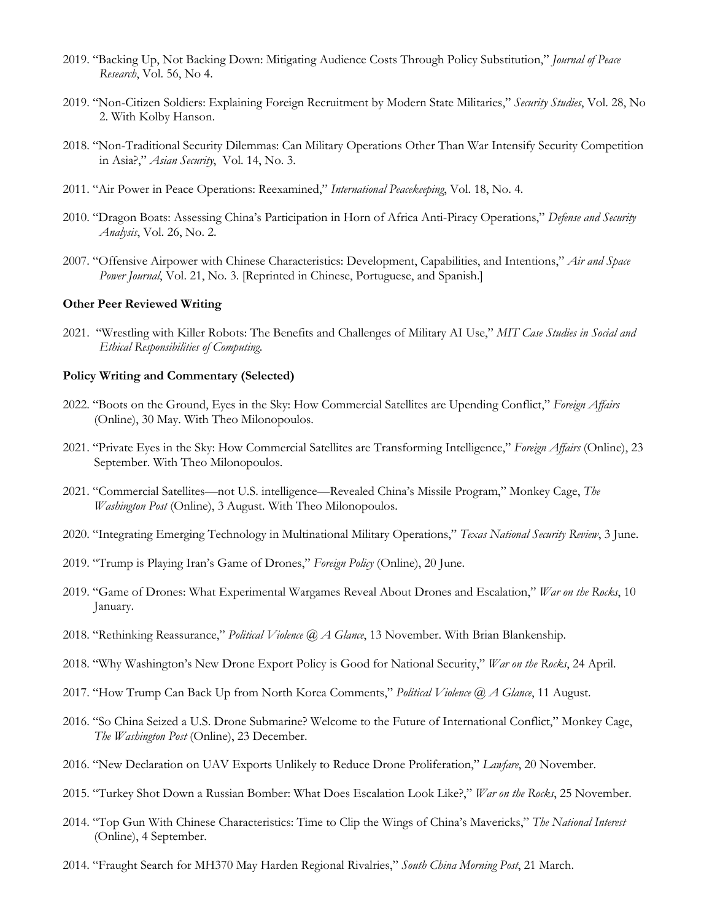- 2019. "Backing Up, Not Backing Down: Mitigating Audience Costs Through Policy Substitution," *Journal of Peace Research*, Vol. 56, No 4.
- 2019. "Non-Citizen Soldiers: Explaining Foreign Recruitment by Modern State Militaries," *Security Studies*, Vol. 28, No 2. With Kolby Hanson.
- 2018. "Non-Traditional Security Dilemmas: Can Military Operations Other Than War Intensify Security Competition in Asia?," *Asian Security*, Vol. 14, No. 3.
- 2011. "Air Power in Peace Operations: Reexamined," *International Peacekeeping*, Vol. 18, No. 4.
- 2010. "Dragon Boats: Assessing China's Participation in Horn of Africa Anti-Piracy Operations," *Defense and Security Analysis*, Vol. 26, No. 2.
- 2007. "Offensive Airpower with Chinese Characteristics: Development, Capabilities, and Intentions," *Air and Space Power Journal*, Vol. 21, No. 3. [Reprinted in Chinese, Portuguese, and Spanish.]

#### **Other Peer Reviewed Writing**

2021. "Wrestling with Killer Robots: The Benefits and Challenges of Military AI Use," *MIT Case Studies in Social and Ethical Responsibilities of Computing*.

#### **Policy Writing and Commentary (Selected)**

- 2022. "Boots on the Ground, Eyes in the Sky: How Commercial Satellites are Upending Conflict," *Foreign Affairs* (Online), 30 May. With Theo Milonopoulos.
- 2021. "Private Eyes in the Sky: How Commercial Satellites are Transforming Intelligence," *Foreign Affairs* (Online), 23 September. With Theo Milonopoulos.
- 2021. "Commercial Satellites—not U.S. intelligence—Revealed China's Missile Program," Monkey Cage, *The Washington Post* (Online), 3 August. With Theo Milonopoulos.
- 2020. "Integrating Emerging Technology in Multinational Military Operations," *Texas National Security Review*, 3 June.
- 2019. "Trump is Playing Iran's Game of Drones," *Foreign Policy* (Online), 20 June.
- 2019. "Game of Drones: What Experimental Wargames Reveal About Drones and Escalation," *War on the Rocks*, 10 January.
- 2018. "Rethinking Reassurance," *Political Violence @ A Glance*, 13 November. With Brian Blankenship.
- 2018. "Why Washington's New Drone Export Policy is Good for National Security," *War on the Rocks*, 24 April.
- 2017. "How Trump Can Back Up from North Korea Comments," *Political Violence @ A Glance*, 11 August.
- 2016. "So China Seized a U.S. Drone Submarine? Welcome to the Future of International Conflict," Monkey Cage, *The Washington Post* (Online), 23 December.
- 2016. "New Declaration on UAV Exports Unlikely to Reduce Drone Proliferation," *Lawfare*, 20 November.
- 2015. "Turkey Shot Down a Russian Bomber: What Does Escalation Look Like?," *War on the Rocks*, 25 November.
- 2014. "Top Gun With Chinese Characteristics: Time to Clip the Wings of China's Mavericks," *The National Interest* (Online), 4 September.
- 2014. "Fraught Search for MH370 May Harden Regional Rivalries," *South China Morning Post*, 21 March.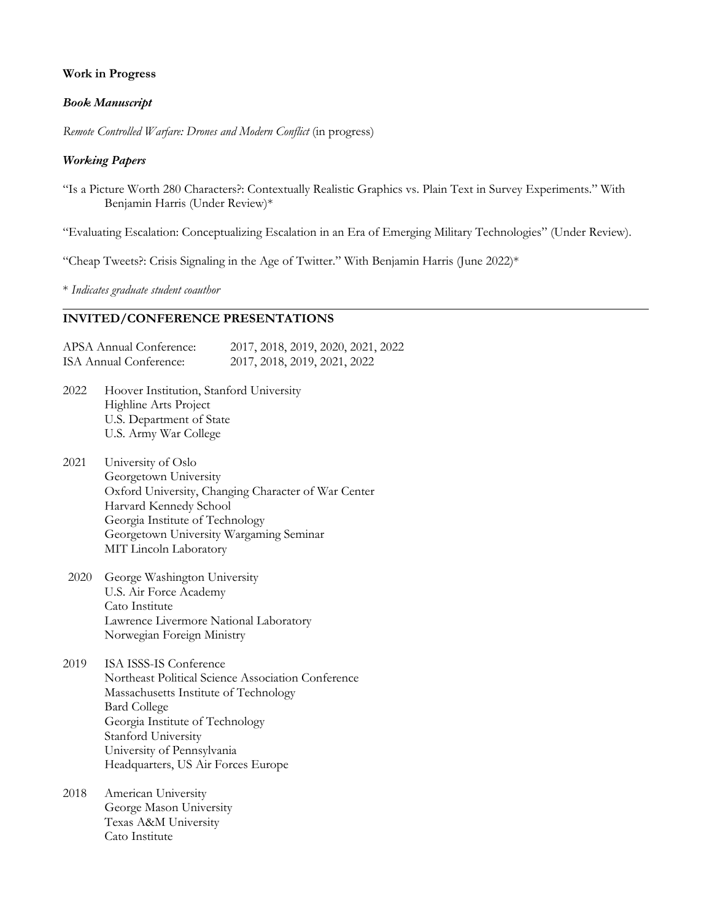# **Work in Progress**

# *Book Manuscript*

*Remote Controlled Warfare: Drones and Modern Conflict* (in progress)

# *Working Papers*

"Is a Picture Worth 280 Characters?: Contextually Realistic Graphics vs. Plain Text in Survey Experiments." With Benjamin Harris (Under Review)\*

"Evaluating Escalation: Conceptualizing Escalation in an Era of Emerging Military Technologies" (Under Review).

"Cheap Tweets?: Crisis Signaling in the Age of Twitter." With Benjamin Harris (June 2022)\*

\* *Indicates graduate student coauthor*

# **INVITED/CONFERENCE PRESENTATIONS**

APSA Annual Conference: 2017, 2018, 2019, 2020, 2021, 2022 ISA Annual Conference: 2017, 2018, 2019, 2021, 2022

- 2022 Hoover Institution, Stanford University Highline Arts Project U.S. Department of State U.S. Army War College
- 2021 University of Oslo Georgetown University Oxford University, Changing Character of War Center Harvard Kennedy School Georgia Institute of Technology Georgetown University Wargaming Seminar MIT Lincoln Laboratory
- 2020 George Washington University U.S. Air Force Academy Cato Institute Lawrence Livermore National Laboratory Norwegian Foreign Ministry
- 2019 ISA ISSS-IS Conference Northeast Political Science Association Conference Massachusetts Institute of Technology Bard College Georgia Institute of Technology Stanford University University of Pennsylvania Headquarters, US Air Forces Europe
- 2018 American University George Mason University Texas A&M University Cato Institute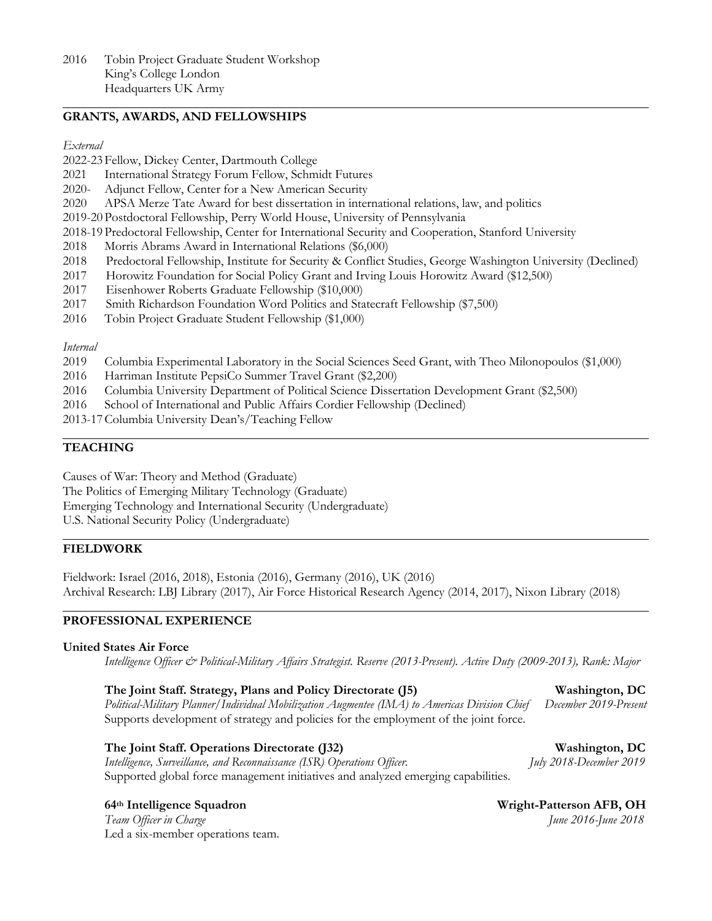# **GRANTS, AWARDS, AND FELLOWSHIPS**

#### *External*

- 2022-23 Fellow, Dickey Center, Dartmouth College
- 2021 International Strategy Forum Fellow, Schmidt Futures
- 2020- Adjunct Fellow, Center for a New American Security
- 2020 APSA Merze Tate Award for best dissertation in international relations, law, and politics
- 2019-20 Postdoctoral Fellowship, Perry World House, University of Pennsylvania
- 2018-19 Predoctoral Fellowship, Center for International Security and Cooperation, Stanford University
- 2018 Morris Abrams Award in International Relations (\$6,000)
- 2018 Predoctoral Fellowship, Institute for Security & Conflict Studies, George Washington University (Declined)
- 2017 Horowitz Foundation for Social Policy Grant and Irving Louis Horowitz Award (\$12,500)
- 2017 Eisenhower Roberts Graduate Fellowship (\$10,000)
- 2017 Smith Richardson Foundation Word Politics and Statecraft Fellowship (\$7,500)
- 2016 Tobin Project Graduate Student Fellowship (\$1,000)

#### *Internal*

- 2019 Columbia Experimental Laboratory in the Social Sciences Seed Grant, with Theo Milonopoulos (\$1,000)
- 2016 Harriman Institute PepsiCo Summer Travel Grant (\$2,200)
- 2016 Columbia University Department of Political Science Dissertation Development Grant (\$2,500)
- 2016 School of International and Public Affairs Cordier Fellowship (Declined)
- 2013-17Columbia University Dean's/Teaching Fellow

# **TEACHING**

Causes of War: Theory and Method (Graduate) The Politics of Emerging Military Technology (Graduate) Emerging Technology and International Security (Undergraduate) U.S. National Security Policy (Undergraduate)

#### **FIELDWORK**

Fieldwork: Israel (2016, 2018), Estonia (2016), Germany (2016), UK (2016) Archival Research: LBJ Library (2017), Air Force Historical Research Agency (2014, 2017), Nixon Library (2018)

# **PROFESSIONAL EXPERIENCE**

#### **United States Air Force**

*Intelligence Officer & Political-Military Affairs Strategist. Reserve (2013-Present). Active Duty (2009-2013), Rank: Major*

# **The Joint Staff. Strategy, Plans and Policy Directorate (J5) Washington, DC**

*Political-Military Planner/Individual Mobilization Augmentee (IMA) to Americas Division Chief December 2019-Present* Supports development of strategy and policies for the employment of the joint force.

# **The Joint Staff. Operations Directorate (J32) Washington, DC**

*Intelligence, Surveillance, and Reconnaissance (ISR) Operations Officer. July 2018-December 2019* Supported global force management initiatives and analyzed emerging capabilities.

**The Team Officer in Charge 1997 The Second 2018** *June* 2016-June 2018 Led a six-member operations team.

**64th Intelligence Squadron Wright-Patterson AFB, OH**